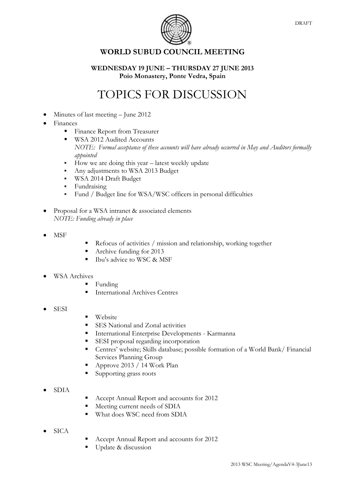

## **WORLD SUBUD COUNCIL MEETING**

## **WEDNESDAY 19 JUNE – THURSDAY 27 JUNE 2013 Poio Monastery, Ponte Vedra, Spain**

## TOPICS FOR DISCUSSION

- Minutes of last meeting June 2012
- Finances
	- **Finance Report from Treasurer**
	- WSA 2012 Audited Accounts *NOTE: Formal acceptance of these accounts will have already occurred in May and Auditors formally appointed*
	- $\blacksquare$  How we are doing this year latest weekly update
	- Any adjustments to WSA 2013 Budget
	- **WSA 2014 Draft Budget**
	- **Fundraising**
	- Fund / Budget line for WSA/WSC officers in personal difficulties
- Proposal for a WSA intranet & associated elements *NOTE: Funding already in place*
- MSF
- Refocus of activities / mission and relationship, working together
- Archive funding for 2013
- Ibu's advice to WSC & MSF
- WSA Archives
	- $\blacksquare$  Funding
	- International Archives Centres
- SESI
- **Website**
- SES National and Zonal activities
- International Enterprise Developments Karmanna
- SESI proposal regarding incorporation
- Centres' website; Skills database; possible formation of a World Bank/ Financial Services Planning Group
- Approve 2013 / 14 Work Plan
- Supporting grass roots
- SDIA
- Accept Annual Report and accounts for 2012
- Meeting current needs of SDIA
- What does WSC need from SDIA
- SICA
- Accept Annual Report and accounts for 2012
- Update & discussion